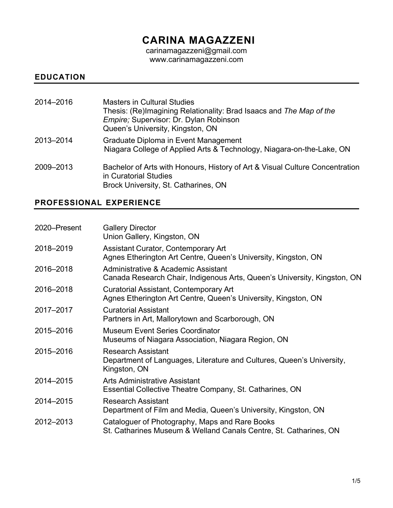# **CARINA MAGAZZENI**

carinamagazzeni@gmail.com www.carinamagazzeni.com

## **EDUCATION**

| 2014-2016 | <b>Masters in Cultural Studies</b><br>Thesis: (Re)Imagining Relationality: Brad Isaacs and The Map of the<br>Empire; Supervisor: Dr. Dylan Robinson<br>Queen's University, Kingston, ON |
|-----------|-----------------------------------------------------------------------------------------------------------------------------------------------------------------------------------------|
| 2013-2014 | Graduate Diploma in Event Management<br>Niagara College of Applied Arts & Technology, Niagara-on-the-Lake, ON                                                                           |
| 2009-2013 | Bachelor of Arts with Honours, History of Art & Visual Culture Concentration<br>in Curatorial Studies<br>Brock University, St. Catharines, ON                                           |

# **PROFESSIONAL EXPERIENCE**

| 2020–Present | <b>Gallery Director</b><br>Union Gallery, Kingston, ON                                                              |
|--------------|---------------------------------------------------------------------------------------------------------------------|
| 2018-2019    | Assistant Curator, Contemporary Art<br>Agnes Etherington Art Centre, Queen's University, Kingston, ON               |
| 2016-2018    | Administrative & Academic Assistant<br>Canada Research Chair, Indigenous Arts, Queen's University, Kingston, ON     |
| 2016-2018    | Curatorial Assistant, Contemporary Art<br>Agnes Etherington Art Centre, Queen's University, Kingston, ON            |
| 2017-2017    | <b>Curatorial Assistant</b><br>Partners in Art, Mallorytown and Scarborough, ON                                     |
| 2015-2016    | <b>Museum Event Series Coordinator</b><br>Museums of Niagara Association, Niagara Region, ON                        |
| 2015-2016    | Research Assistant<br>Department of Languages, Literature and Cultures, Queen's University,<br>Kingston, ON         |
| 2014-2015    | Arts Administrative Assistant<br>Essential Collective Theatre Company, St. Catharines, ON                           |
| 2014-2015    | <b>Research Assistant</b><br>Department of Film and Media, Queen's University, Kingston, ON                         |
| 2012-2013    | Cataloguer of Photography, Maps and Rare Books<br>St. Catharines Museum & Welland Canals Centre, St. Catharines, ON |
|              |                                                                                                                     |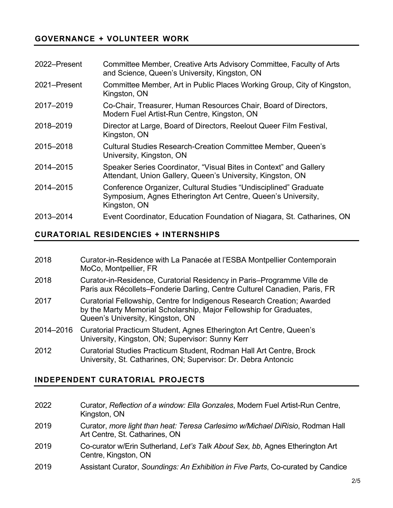## **GOVERNANCE + VOLUNTEER WORK**

| 2022-Present | Committee Member, Creative Arts Advisory Committee, Faculty of Arts<br>and Science, Queen's University, Kingston, ON                            |
|--------------|-------------------------------------------------------------------------------------------------------------------------------------------------|
| 2021–Present | Committee Member, Art in Public Places Working Group, City of Kingston,<br>Kingston, ON                                                         |
| 2017-2019    | Co-Chair, Treasurer, Human Resources Chair, Board of Directors,<br>Modern Fuel Artist-Run Centre, Kingston, ON                                  |
| 2018-2019    | Director at Large, Board of Directors, Reelout Queer Film Festival,<br>Kingston, ON                                                             |
| 2015-2018    | <b>Cultural Studies Research-Creation Committee Member, Queen's</b><br>University, Kingston, ON                                                 |
| 2014-2015    | Speaker Series Coordinator, "Visual Bites in Context" and Gallery<br>Attendant, Union Gallery, Queen's University, Kingston, ON                 |
| 2014-2015    | Conference Organizer, Cultural Studies "Undisciplined" Graduate<br>Symposium, Agnes Etherington Art Centre, Queen's University,<br>Kingston, ON |
| 2013-2014    | Event Coordinator, Education Foundation of Niagara, St. Catharines, ON                                                                          |

#### **CURATORIAL RESIDENCIES + INTERNSHIPS**

- 2018 Curator-in-Residence with La Panacée at l'ESBA Montpellier Contemporain MoCo, Montpellier, FR
- 2018 Curator-in-Residence, Curatorial Residency in Paris–Programme Ville de Paris aux Récollets–Fonderie Darling, Centre Culturel Canadien, Paris, FR
- 2017 Curatorial Fellowship, Centre for Indigenous Research Creation; Awarded by the Marty Memorial Scholarship, Major Fellowship for Graduates, Queen's University, Kingston, ON
- 2014–2016 Curatorial Practicum Student, Agnes Etherington Art Centre, Queen's University, Kingston, ON; Supervisor: Sunny Kerr
- 2012 Curatorial Studies Practicum Student, Rodman Hall Art Centre, Brock University, St. Catharines, ON; Supervisor: Dr. Debra Antoncic

#### **INDEPENDENT CURATORIAL PROJECTS**

- 2022 Curator, *Reflection of a window: Ella Gonzales*, Modern Fuel Artist-Run Centre, Kingston, ON
- 2019 Curator, *more light than heat: Teresa Carlesimo w/Michael DiRisio*, Rodman Hall Art Centre, St. Catharines, ON
- 2019 Co-curator w/Erin Sutherland, *Let's Talk About Sex, bb*, Agnes Etherington Art Centre, Kingston, ON
- 2019 Assistant Curator, *Soundings: An Exhibition in Five Parts*, Co-curated by Candice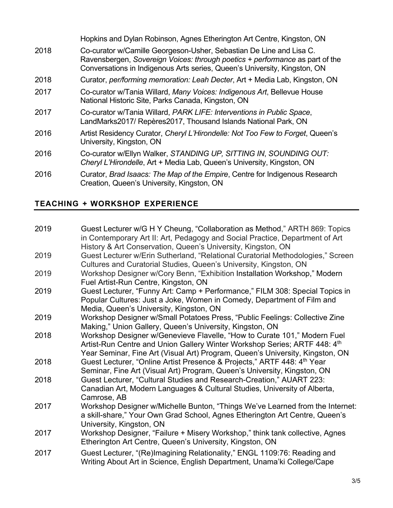|      | Hopkins and Dylan Robinson, Agnes Etherington Art Centre, Kingston, ON                                                                                                                                                           |
|------|----------------------------------------------------------------------------------------------------------------------------------------------------------------------------------------------------------------------------------|
| 2018 | Co-curator w/Camille Georgeson-Usher, Sebastian De Line and Lisa C.<br>Ravensbergen, Sovereign Voices: through poetics + performance as part of the<br>Conversations in Indigenous Arts series, Queen's University, Kingston, ON |
| 2018 | Curator, per/forming memoration: Leah Decter, Art + Media Lab, Kingston, ON                                                                                                                                                      |
| 2017 | Co-curator w/Tania Willard, Many Voices: Indigenous Art, Bellevue House<br>National Historic Site, Parks Canada, Kingston, ON                                                                                                    |
| 2017 | Co-curator w/Tania Willard, PARK LIFE: Interventions in Public Space,<br>LandMarks2017/ Repères2017, Thousand Islands National Park, ON                                                                                          |
| 2016 | Artist Residency Curator, Cheryl L'Hirondelle: Not Too Few to Forget, Queen's<br>University, Kingston, ON                                                                                                                        |
| 2016 | Co-curator w/Ellyn Walker, STANDING UP, SITTING IN, SOUNDING OUT:<br>Cheryl L'Hirondelle, Art + Media Lab, Queen's University, Kingston, ON                                                                                      |
| 2016 | Curator, Brad Isaacs: The Map of the Empire, Centre for Indigenous Research                                                                                                                                                      |

# **TEACHING + WORKSHOP EXPERIENCE**

Creation, Queen's University, Kingston, ON

| 2019 | Guest Lecturer w/G H Y Cheung, "Collaboration as Method," ARTH 869: Topics<br>in Contemporary Art II: Art, Pedagogy and Social Practice, Department of Art<br>History & Art Conservation, Queen's University, Kingston, ON             |
|------|----------------------------------------------------------------------------------------------------------------------------------------------------------------------------------------------------------------------------------------|
| 2019 | Guest Lecturer w/Erin Sutherland, "Relational Curatorial Methodologies," Screen<br>Cultures and Curatorial Studies, Queen's University, Kingston, ON                                                                                   |
| 2019 | Workshop Designer w/Cory Benn, "Exhibition Installation Workshop," Modern<br>Fuel Artist-Run Centre, Kingston, ON                                                                                                                      |
| 2019 | Guest Lecturer, "Funny Art: Camp + Performance," FILM 308: Special Topics in<br>Popular Cultures: Just a Joke, Women in Comedy, Department of Film and<br>Media, Queen's University, Kingston, ON                                      |
| 2019 | Workshop Designer w/Small Potatoes Press, "Public Feelings: Collective Zine<br>Making," Union Gallery, Queen's University, Kingston, ON                                                                                                |
| 2018 | Workshop Designer w/Genevieve Flavelle, "How to Curate 101," Modern Fuel<br>Artist-Run Centre and Union Gallery Winter Workshop Series; ARTF 448: 4th<br>Year Seminar, Fine Art (Visual Art) Program, Queen's University, Kingston, ON |
| 2018 | Guest Lecturer, "Online Artist Presence & Projects," ARTF 448: 4th Year<br>Seminar, Fine Art (Visual Art) Program, Queen's University, Kingston, ON                                                                                    |
| 2018 | Guest Lecturer, "Cultural Studies and Research-Creation," AUART 223:<br>Canadian Art, Modern Languages & Cultural Studies, University of Alberta,<br>Camrose, AB                                                                       |
| 2017 | Workshop Designer w/Michelle Bunton, "Things We've Learned from the Internet:<br>a skill-share," Your Own Grad School, Agnes Etherington Art Centre, Queen's<br>University, Kingston, ON                                               |
| 2017 | Workshop Designer, "Failure + Misery Workshop," think tank collective, Agnes<br>Etherington Art Centre, Queen's University, Kingston, ON                                                                                               |
| 2017 | Guest Lecturer, "(Re)Imagining Relationality," ENGL 1109:76: Reading and<br>Writing About Art in Science, English Department, Unama'ki College/Cape                                                                                    |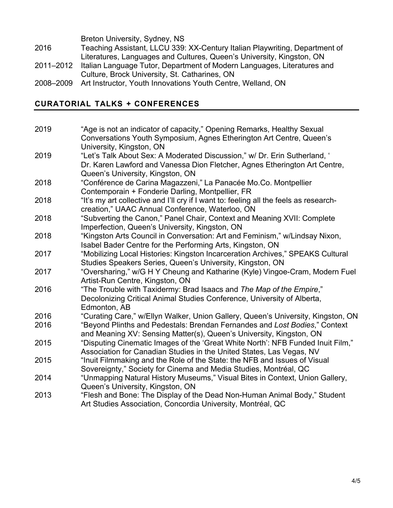|           | Breton University, Sydney, NS                                               |
|-----------|-----------------------------------------------------------------------------|
| 2016      | Teaching Assistant, LLCU 339: XX-Century Italian Playwriting, Department of |
|           | Literatures, Languages and Cultures, Queen's University, Kingston, ON       |
| 2011-2012 | Italian Language Tutor, Department of Modern Languages, Literatures and     |
|           | Culture, Brock University, St. Catharines, ON                               |
| nna anna  | Art Instructor Vouth Innovations Vouth Contro Wolland, ON                   |

2008–2009 Art Instructor, Youth Innovations Youth Centre, Welland, ON

# **CURATORIAL TALKS + CONFERENCES**

| 2019 | "Age is not an indicator of capacity," Opening Remarks, Healthy Sexual<br>Conversations Youth Symposium, Agnes Etherington Art Centre, Queen's<br>University, Kingston, ON                  |
|------|---------------------------------------------------------------------------------------------------------------------------------------------------------------------------------------------|
| 2019 | "Let's Talk About Sex: A Moderated Discussion," w/ Dr. Erin Sutherland, '<br>Dr. Karen Lawford and Vanessa Dion Fletcher, Agnes Etherington Art Centre,<br>Queen's University, Kingston, ON |
| 2018 | "Conférence de Carina Magazzeni," La Panacée Mo.Co. Montpellier<br>Contemporain + Fonderie Darling, Montpellier, FR                                                                         |
| 2018 | "It's my art collective and I'll cry if I want to: feeling all the feels as research-<br>creation," UAAC Annual Conference, Waterloo, ON                                                    |
| 2018 | "Subverting the Canon," Panel Chair, Context and Meaning XVII: Complete<br>Imperfection, Queen's University, Kingston, ON                                                                   |
| 2018 | "Kingston Arts Council in Conversation: Art and Feminism," w/Lindsay Nixon,<br>Isabel Bader Centre for the Performing Arts, Kingston, ON                                                    |
| 2017 | "Mobilizing Local Histories: Kingston Incarceration Archives," SPEAKS Cultural<br>Studies Speakers Series, Queen's University, Kingston, ON                                                 |
| 2017 | "Oversharing," w/G H Y Cheung and Katharine (Kyle) Vingoe-Cram, Modern Fuel<br>Artist-Run Centre, Kingston, ON                                                                              |
| 2016 | "The Trouble with Taxidermy: Brad Isaacs and The Map of the Empire,"<br>Decolonizing Critical Animal Studies Conference, University of Alberta,<br>Edmonton, AB                             |
| 2016 | "Curating Care," w/Ellyn Walker, Union Gallery, Queen's University, Kingston, ON                                                                                                            |
| 2016 | "Beyond Plinths and Pedestals: Brendan Fernandes and Lost Bodies," Context<br>and Meaning XV: Sensing Matter(s), Queen's University, Kingston, ON                                           |
| 2015 | "Disputing Cinematic Images of the 'Great White North': NFB Funded Inuit Film,"<br>Association for Canadian Studies in the United States, Las Vegas, NV                                     |
| 2015 | "Inuit Filmmaking and the Role of the State: the NFB and Issues of Visual<br>Sovereignty," Society for Cinema and Media Studies, Montréal, QC                                               |
| 2014 | "Unmapping Natural History Museums," Visual Bites in Context, Union Gallery,<br>Queen's University, Kingston, ON                                                                            |
| 2013 | "Flesh and Bone: The Display of the Dead Non-Human Animal Body," Student<br>Art Studies Association, Concordia University, Montréal, QC                                                     |